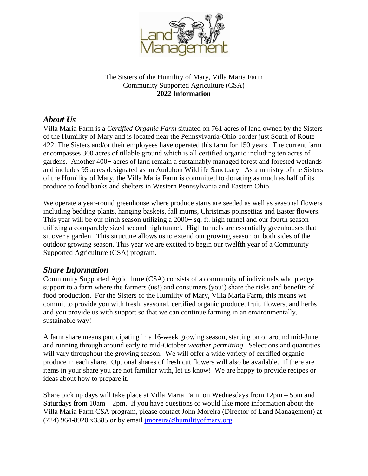

## The Sisters of the Humility of Mary, Villa Maria Farm Community Supported Agriculture (CSA) **2022 Information**

## *About Us*

Villa Maria Farm is a *Certified Organic Farm* situated on 761 acres of land owned by the Sisters of the Humility of Mary and is located near the Pennsylvania-Ohio border just South of Route 422. The Sisters and/or their employees have operated this farm for 150 years. The current farm encompasses 300 acres of tillable ground which is all certified organic including ten acres of gardens. Another 400+ acres of land remain a sustainably managed forest and forested wetlands and includes 95 acres designated as an Audubon Wildlife Sanctuary. As a ministry of the Sisters of the Humility of Mary, the Villa Maria Farm is committed to donating as much as half of its produce to food banks and shelters in Western Pennsylvania and Eastern Ohio.

We operate a year-round greenhouse where produce starts are seeded as well as seasonal flowers including bedding plants, hanging baskets, fall mums, Christmas poinsettias and Easter flowers. This year will be our ninth season utilizing a 2000+ sq. ft. high tunnel and our fourth season utilizing a comparably sized second high tunnel. High tunnels are essentially greenhouses that sit over a garden. This structure allows us to extend our growing season on both sides of the outdoor growing season. This year we are excited to begin our twelfth year of a Community Supported Agriculture (CSA) program.

## *Share Information*

Community Supported Agriculture (CSA) consists of a community of individuals who pledge support to a farm where the farmers (us!) and consumers (you!) share the risks and benefits of food production. For the Sisters of the Humility of Mary, Villa Maria Farm, this means we commit to provide you with fresh, seasonal, certified organic produce, fruit, flowers, and herbs and you provide us with support so that we can continue farming in an environmentally, sustainable way!

A farm share means participating in a 16-week growing season, starting on or around mid-June and running through around early to mid-October *weather permitting*. Selections and quantities will vary throughout the growing season. We will offer a wide variety of certified organic produce in each share. Optional shares of fresh cut flowers will also be available. If there are items in your share you are not familiar with, let us know! We are happy to provide recipes or ideas about how to prepare it.

Share pick up days will take place at Villa Maria Farm on Wednesdays from 12pm – 5pm and Saturdays from  $10am - 2pm$ . If you have questions or would like more information about the Villa Maria Farm CSA program, please contact John Moreira (Director of Land Management) at (724) 964-8920 x3385 or by email  $\frac{1}{2}$  more in  $\frac{1}{2}$  humility of mary.org.